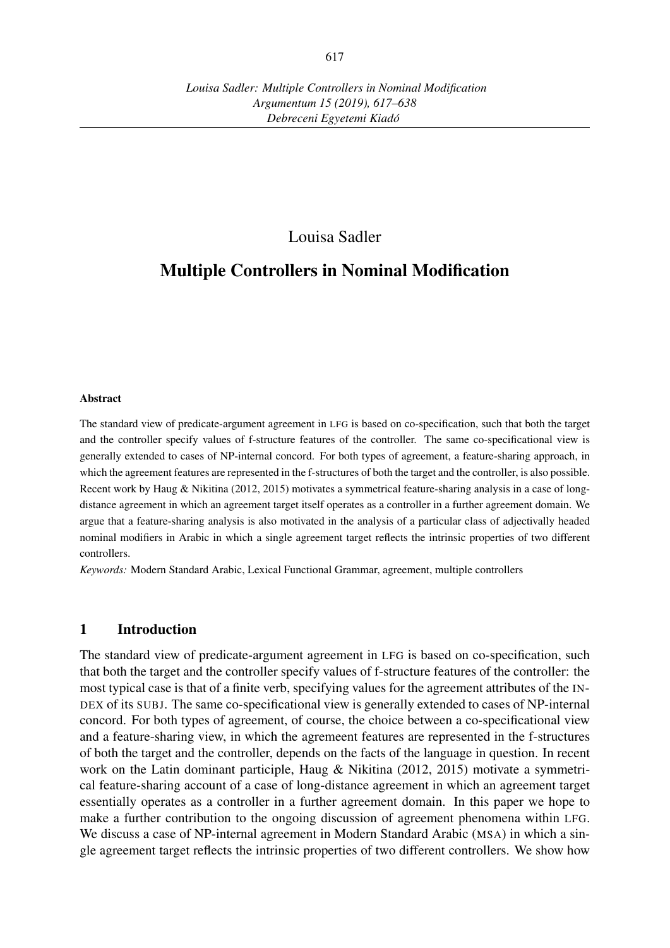## Louisa Sadler

# Multiple Controllers in Nominal Modification

#### Abstract

The standard view of predicate-argument agreement in LFG is based on co-specification, such that both the target and the controller specify values of f-structure features of the controller. The same co-specificational view is generally extended to cases of NP-internal concord. For both types of agreement, a feature-sharing approach, in which the agreement features are represented in the f-structures of both the target and the controller, is also possible. Recent work by Haug & Nikitina (2012, 2015) motivates a symmetrical feature-sharing analysis in a case of longdistance agreement in which an agreement target itself operates as a controller in a further agreement domain. We argue that a feature-sharing analysis is also motivated in the analysis of a particular class of adjectivally headed nominal modifiers in Arabic in which a single agreement target reflects the intrinsic properties of two different controllers.

*Keywords:* Modern Standard Arabic, Lexical Functional Grammar, agreement, multiple controllers

### 1 Introduction

The standard view of predicate-argument agreement in LFG is based on co-specification, such that both the target and the controller specify values of f-structure features of the controller: the most typical case is that of a finite verb, specifying values for the agreement attributes of the IN-DEX of its SUBJ. The same co-specificational view is generally extended to cases of NP-internal concord. For both types of agreement, of course, the choice between a co-specificational view and a feature-sharing view, in which the agremeent features are represented in the f-structures of both the target and the controller, depends on the facts of the language in question. In recent work on the Latin dominant participle, Haug & Nikitina (2012, 2015) motivate a symmetrical feature-sharing account of a case of long-distance agreement in which an agreement target essentially operates as a controller in a further agreement domain. In this paper we hope to make a further contribution to the ongoing discussion of agreement phenomena within LFG. We discuss a case of NP-internal agreement in Modern Standard Arabic (MSA) in which a single agreement target reflects the intrinsic properties of two different controllers. We show how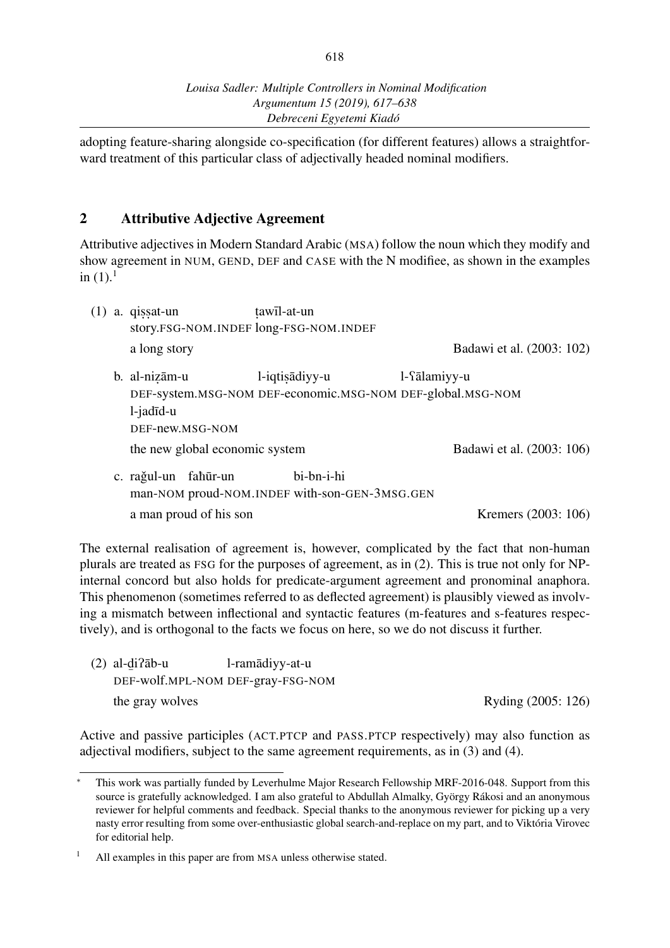adopting feature-sharing alongside co-specification (for different features) allows a straightforward treatment of this particular class of adjectivally headed nominal modifiers.

### 2 Attributive Adjective Agreement

Attributive adjectives in Modern Standard Arabic (MSA) follow the noun which they modify and show agreement in NUM, GEND, DEF and CASE with the N modifiee, as shown in the examples in  $(1).$ <sup>1</sup>

| (1) | a. qissat-un                   | tawīl-at-un                                                                  |              |                           |
|-----|--------------------------------|------------------------------------------------------------------------------|--------------|---------------------------|
|     |                                | story.FSG-NOM.INDEF long-FSG-NOM.INDEF                                       |              |                           |
|     | a long story                   |                                                                              |              | Badawi et al. (2003: 102) |
|     | b. al-nizām-u<br>l-jadīd-u     | l-iqtisadiyy-u<br>DEF-system.MSG-NOM DEF-economic.MSG-NOM DEF-global.MSG-NOM | l-fālamiyy-u |                           |
|     | DEF-new.MSG-NOM                |                                                                              |              |                           |
|     | the new global economic system |                                                                              |              | Badawi et al. (2003: 106) |
|     | c. rağul-un<br>fahūr-un        | bi-bn-i-hi<br>man-NOM proud-NOM. INDEF with-son-GEN-3MSG.GEN                 |              |                           |
|     | a man proud of his son         |                                                                              |              | Kremers (2003: 106)       |

The external realisation of agreement is, however, complicated by the fact that non-human plurals are treated as FSG for the purposes of agreement, as in (2). This is true not only for NPinternal concord but also holds for predicate-argument agreement and pronominal anaphora. This phenomenon (sometimes referred to as deflected agreement) is plausibly viewed as involving a mismatch between inflectional and syntactic features (m-features and s-features respectively), and is orthogonal to the facts we focus on here, so we do not discuss it further.

 $(2)$  al- $di$ ?āb-u ¯ DEF-wolf.MPL-NOM DEF-gray-FSG-NOM l-ramadiyy-at-u ¯ the gray wolves Ryding (2005: 126)

Active and passive participles (ACT.PTCP and PASS.PTCP respectively) may also function as adjectival modifiers, subject to the same agreement requirements, as in (3) and (4).

*This work was partially funded by Leverhulme Major Research Fellowship MRF-2016-048. Support from this* source is gratefully acknowledged. I am also grateful to Abdullah Almalky, György Rákosi and an anonymous reviewer for helpful comments and feedback. Special thanks to the anonymous reviewer for picking up a very nasty error resulting from some over-enthusiastic global search-and-replace on my part, and to Viktória Virovec for editorial help.

<sup>&</sup>lt;sup>1</sup> All examples in this paper are from MSA unless otherwise stated.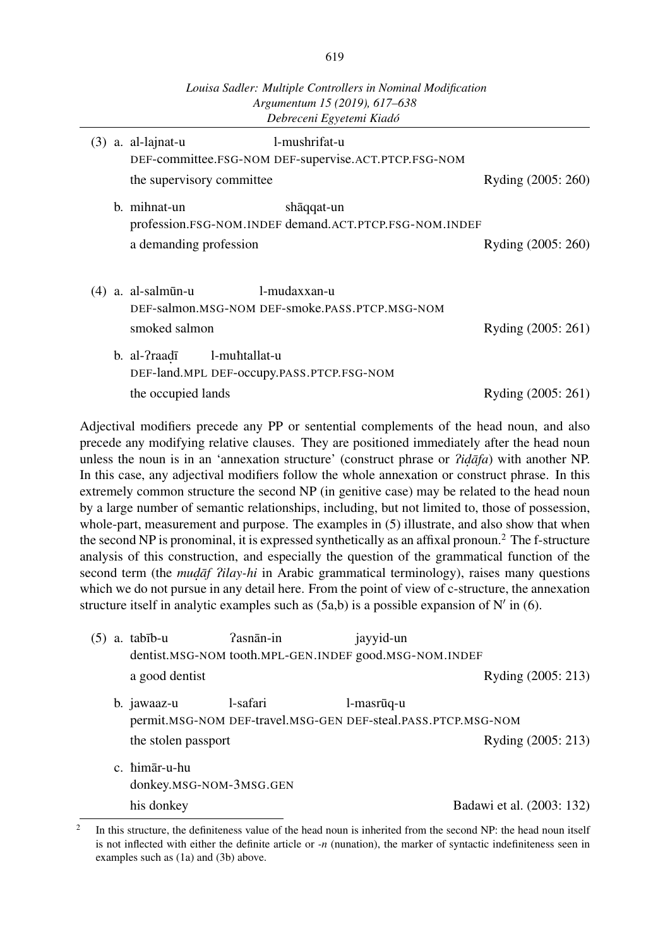|     |                                                                                     | Argumentum 15 (2019), 617–638<br>Debreceni Egyetemi Kiadó             |                    |
|-----|-------------------------------------------------------------------------------------|-----------------------------------------------------------------------|--------------------|
|     | $(3)$ a. al-lajnat-u                                                                | l-mushrifat-u<br>DEF-committee.FSG-NOM DEF-supervise.ACT.PTCP.FSG-NOM |                    |
|     | the supervisory committee                                                           |                                                                       | Ryding (2005: 260) |
|     | b. mihnat-un                                                                        | shaqqat-un<br>profession.FSG-NOM.INDEF demand.ACT.PTCP.FSG-NOM.INDEF  |                    |
|     | a demanding profession                                                              |                                                                       | Ryding (2005: 260) |
| (4) | a. al-salmūn-u<br>smoked salmon                                                     | l-mudaxxan-u<br>DEF-salmon.MSG-NOM DEF-smoke.PASS.PTCP.MSG-NOM        | Ryding (2005: 261) |
|     | b. al-?raad <del>i</del> l-muntallat-u<br>DEF-land.MPL DEF-occupy.PASS.PTCP.FSG-NOM |                                                                       |                    |
|     | the occupied lands                                                                  |                                                                       | Ryding (2005: 261) |

Adjectival modifiers precede any PP or sentential complements of the head noun, and also precede any modifying relative clauses. They are positioned immediately after the head noun unless the noun is in an 'annexation structure' (construct phrase or *?idafa*) with another NP. In this case, any adjectival modifiers follow the whole annexation or construct phrase. In this extremely common structure the second NP (in genitive case) may be related to the head noun by a large number of semantic relationships, including, but not limited to, those of possession, whole-part, measurement and purpose. The examples in (5) illustrate, and also show that when the second NP is pronominal, it is expressed synthetically as an affixal pronoun.<sup>2</sup> The f-structure analysis of this construction, and especially the question of the grammatical function of the second term (the *mudaf ?ilay-hi* in Arabic grammatical terminology), raises many questions which we do not pursue in any detail here. From the point of view of c-structure, the annexation structure itself in analytic examples such as (5a,b) is a possible expansion of N*′* in (6).

| (5) | a. tabīb-u                               | ?asnān-in                                                                 | jayyid-un  |                           |
|-----|------------------------------------------|---------------------------------------------------------------------------|------------|---------------------------|
|     |                                          | dentist.MSG-NOM tooth.MPL-GEN.INDEF good.MSG-NOM.INDEF                    |            |                           |
|     | a good dentist                           |                                                                           |            | Ryding (2005: 213)        |
|     | b. jawaaz-u                              | l-safari<br>permit.MSG-NOM DEF-travel.MSG-GEN DEF-steal.PASS.PTCP.MSG-NOM | l-masrūq-u |                           |
|     | the stolen passport                      |                                                                           |            | Ryding (2005: 213)        |
|     | c. himar-u-hu<br>donkey.MSG-NOM-3MSG.GEN |                                                                           |            |                           |
|     | his donkey                               |                                                                           |            | Badawi et al. (2003: 132) |

<sup>2</sup> In this structure, the definiteness value of the head noun is inherited from the second NP: the head noun itself is not inflected with either the definite article or *-n* (nunation), the marker of syntactic indefiniteness seen in examples such as (1a) and (3b) above.

*Louisa Sadler: Multiple Controllers in Nominal Modification*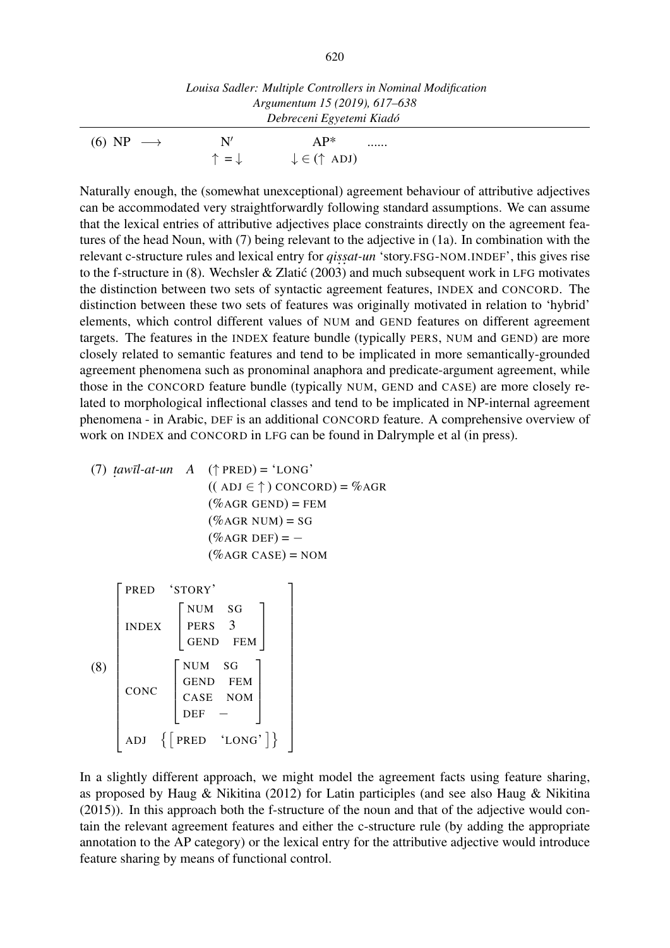|                      |               | Louisa Sadler: Multiple Controllers in Nominal Modification<br>Argumentum 15 (2019), 617–638 |  |
|----------------------|---------------|----------------------------------------------------------------------------------------------|--|
|                      |               | Debreceni Egyetemi Kiadó                                                                     |  |
| $(6) NP \rightarrow$ | N'            | $AP^*$<br>.                                                                                  |  |
|                      | $=\downarrow$ | $\downarrow \in (\uparrow \text{ ADJ})$                                                      |  |

Naturally enough, the (somewhat unexceptional) agreement behaviour of attributive adjectives can be accommodated very straightforwardly following standard assumptions. We can assume that the lexical entries of attributive adjectives place constraints directly on the agreement features of the head Noun, with (7) being relevant to the adjective in (1a). In combination with the relevant c-structure rules and lexical entry for *qissat-un* 'story.FSG-NOM.INDEF', this gives rise to the f-structure in (8). Wechsler & Zlatić (2003) and much subsequent work in LFG motivates the distinction between two sets of syntactic agreement features, INDEX and CONCORD. The distinction between these two sets of features was originally motivated in relation to 'hybrid' elements, which control different values of NUM and GEND features on different agreement targets. The features in the INDEX feature bundle (typically PERS, NUM and GEND) are more closely related to semantic features and tend to be implicated in more semantically-grounded agreement phenomena such as pronominal anaphora and predicate-argument agreement, while those in the CONCORD feature bundle (typically NUM, GEND and CASE) are more closely related to morphological inflectional classes and tend to be implicated in NP-internal agreement phenomena - in Arabic, DEF is an additional CONCORD feature. A comprehensive overview of work on INDEX and CONCORD in LFG can be found in Dalrymple et al (in press).

(7)  $\text{tawīl-at-un}$  A ( $\uparrow$  PRED) = 'LONG' ˙  $((ADJ \in \uparrow) CONCORD) = \%AGR$  $(\%$ AGR GEND) = FEM  $(\%$ AGR NUM) = SG (%AGR DEF) = *−*  $(\%$ AGR CASE) = NOM (8)  $\sqrt{ }$  $\perp$  $\mathbf{I}$  $\overline{\phantom{a}}$  $\overline{\phantom{a}}$  $\overline{\phantom{a}}$  $\overline{\phantom{a}}$  $\overline{\phantom{a}}$  $\overline{1}$  $\perp$  $\mathbf{I}$  $\overline{1}$  $\overline{1}$  $\overline{1}$  $\overline{1}$ PRED 'STORY' INDEX  $\sqrt{ }$  $\overline{1}$ NUM SG PERS<sub>3</sub> GEND FEM T  $\overline{1}$ CONC  $\sqrt{ }$  $\mathbf{I}$  $\overline{1}$  $\overline{1}$ NUM SG GEND FEM CASE NOM DEF *−* 1  $\begin{matrix} \phantom{-} \end{matrix}$ 1  $\frac{1}{2}$  $\mathbf{I}$  $\overline{1}$  $\overline{1}$  $\overline{1}$  $\overline{1}$  $\overline{1}$  $\overline{1}$  $\frac{1}{2}$  $\mathbf{I}$  $\overline{1}$  $\overline{1}$  $\overline{1}$  $\overline{1}$ 

ADJ {[ PRED 'LONG' ]}

 $\overline{1}$  $\mathbf{I}$ 

In a slightly different approach, we might model the agreement facts using feature sharing, as proposed by Haug & Nikitina (2012) for Latin participles (and see also Haug & Nikitina (2015)). In this approach both the f-structure of the noun and that of the adjective would contain the relevant agreement features and either the c-structure rule (by adding the appropriate annotation to the AP category) or the lexical entry for the attributive adjective would introduce feature sharing by means of functional control.

 $\frac{1}{2}$  $\mathbf{I}$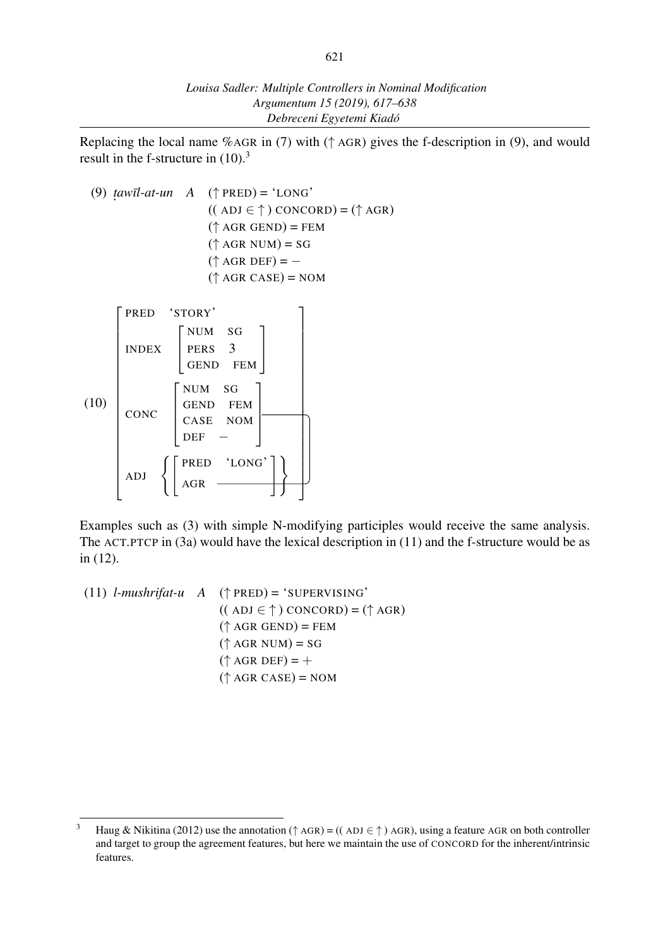Replacing the local name %AGR in (7) with (*↑* AGR) gives the f-description in (9), and would result in the f-structure in  $(10).$ <sup>3</sup>

(9) *t aw¯ıl-at-un A* (*↑* PRED) = 'LONG' ˙ (( ADJ *∈ ↑* ) CONCORD) = (*↑* AGR)  $( $\uparrow$  AGR GEND) = FEM$ (*↑* AGR NUM) = SG (*↑* AGR DEF) = *−* (*↑* AGR CASE) = NOM (10)  $\sqrt{ }$  $\overline{\phantom{a}}$  $\overline{1}$  $\overline{1}$  $\overline{1}$  $\overline{1}$  $\overline{1}$  $\perp$  $\mathbf{I}$  $\overline{1}$  $\overline{1}$  $\overline{1}$  $\overline{1}$  $\overline{1}$  $\perp$  $\mathbf{I}$  $\overline{1}$  $\overline{1}$  $\overline{\phantom{a}}$  $\overline{1}$ PRED 'STORY' INDEX  $\sqrt{ }$  $\overline{\phantom{a}}$ NUM SG PERS 3 GEND FEM T  $\overline{1}$ CONC  $\sqrt{ }$  $\mathbf{I}$  $\overline{1}$  $\overline{\phantom{a}}$ NUM SG GEND FEM CASE NOM DEF *−* 1  $\Bigg\}$  $ADJ \left\{ \left[ \begin{array}{cc} \text{PRED} & 'LONG' \\ \text{AGR} & \overline{ } \end{array} \right] \right\}$ 1  $\overline{1}$  $\overline{1}$  $\overline{1}$  $\overline{1}$  $\overline{1}$  $\overline{1}$  $\frac{1}{2}$  $\mathbf{I}$  $\overline{1}$  $\overline{1}$ ┼  $\overline{1}$  $\overline{1}$  $\frac{1}{2}$  $\mathbf{I}$  $\overline{1}$  $\overline{1}$  $\overline{1}$  $\downarrow$ 

Examples such as (3) with simple N-modifying participles would receive the same analysis. The ACT.PTCP in (3a) would have the lexical description in (11) and the f-structure would be as in (12).

(11) *l-mushrifat-u A* (*↑* PRED) = 'SUPERVISING' (( ADJ *∈ ↑* ) CONCORD) = (*↑* AGR) (*↑* AGR GEND) = FEM  $({\uparrow}$  AGR NUM) = SG  $(\uparrow$  AGR DEF) = + (*↑* AGR CASE) = NOM

<sup>3</sup> Haug & Nikitina (2012) use the annotation (*<sup>↑</sup>* AGR) = (( ADJ *∈ ↑* ) AGR), using a feature AGR on both controller and target to group the agreement features, but here we maintain the use of CONCORD for the inherent/intrinsic features.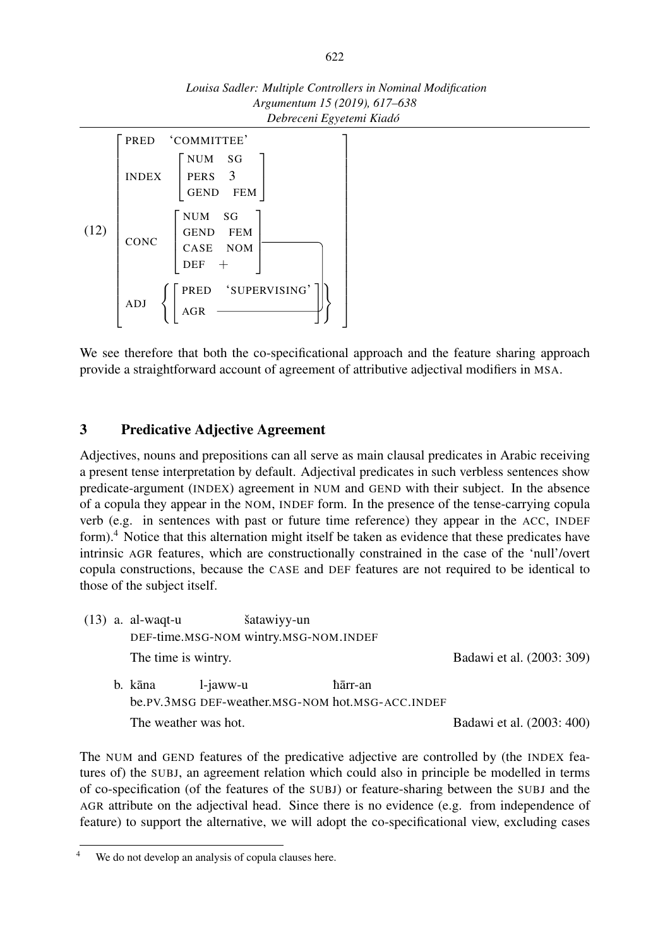



We see therefore that both the co-specificational approach and the feature sharing approach provide a straightforward account of agreement of attributive adjectival modifiers in MSA.

### 3 Predicative Adjective Agreement

Adjectives, nouns and prepositions can all serve as main clausal predicates in Arabic receiving a present tense interpretation by default. Adjectival predicates in such verbless sentences show predicate-argument (INDEX) agreement in NUM and GEND with their subject. In the absence of a copula they appear in the NOM, INDEF form. In the presence of the tense-carrying copula verb (e.g. in sentences with past or future time reference) they appear in the ACC, INDEF form).<sup>4</sup> Notice that this alternation might itself be taken as evidence that these predicates have intrinsic AGR features, which are constructionally constrained in the case of the 'null'/overt copula constructions, because the CASE and DEF features are not required to be identical to those of the subject itself.

(13) a. al-waqt-u DEF-time.MSG-NOM wintry.MSG-NOM.INDEF šatawiyy-un The time is wintry. Badawi et al. (2003: 309) b. kāna be.PV.3MSG DEF-weather.MSG-NOM hot.MSG-ACC.INDEF l-jaww-u hārr-an The weather was hot. Badawi et al. (2003: 400)

The NUM and GEND features of the predicative adjective are controlled by (the INDEX features of) the SUBJ, an agreement relation which could also in principle be modelled in terms of co-specification (of the features of the SUBJ) or feature-sharing between the SUBJ and the AGR attribute on the adjectival head. Since there is no evidence (e.g. from independence of feature) to support the alternative, we will adopt the co-specificational view, excluding cases

We do not develop an analysis of copula clauses here.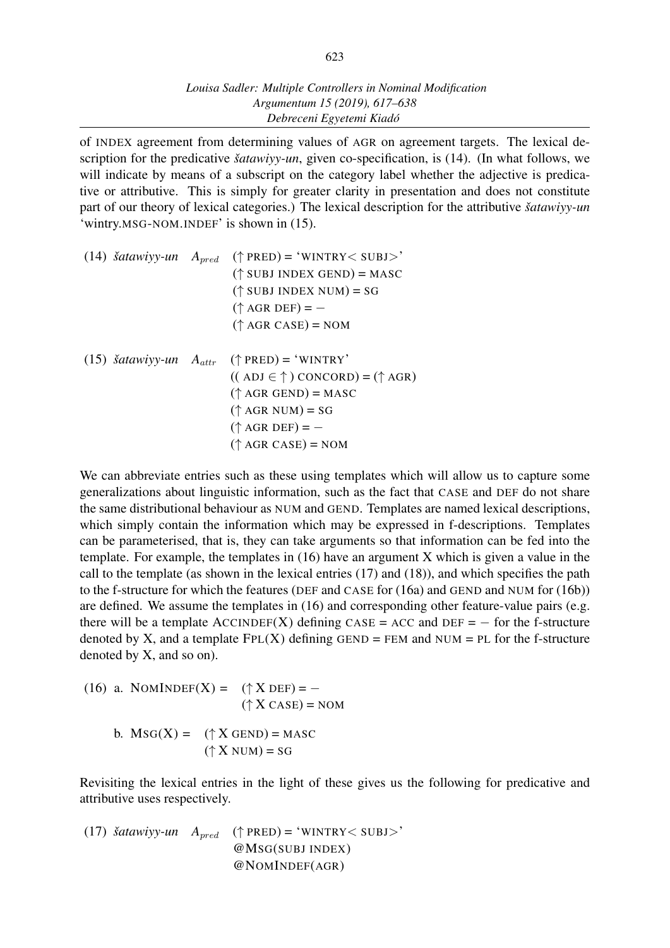of INDEX agreement from determining values of AGR on agreement targets. The lexical description for the predicative *šatawiyy-un*, given co-specification, is (14). (In what follows, we will indicate by means of a subscript on the category label whether the adjective is predicative or attributive. This is simply for greater clarity in presentation and does not constitute part of our theory of lexical categories.) The lexical description for the attributive *šatawiyy-un* 'wintry.MSG-NOM.INDEF' is shown in (15).

| $(14)$ <i>šatawiyy-un</i>     | $A_{pred}$ | $(\uparrow$ PRED) = 'WINTRY< SUBJ>'<br>$(\uparrow$ SUBJ INDEX GEND) = MASC<br>$(\uparrow$ SUBJ INDEX NUM) = SG<br>$(\uparrow$ AGR DEF) = -<br>$(\uparrow$ AGR CASE) = NOM                               |
|-------------------------------|------------|---------------------------------------------------------------------------------------------------------------------------------------------------------------------------------------------------------|
| $(15)$ šatawiyy-un $A_{attr}$ |            | $(\uparrow$ PRED) = 'WINTRY'<br>$((ADJ \in \uparrow) CONCORD) = (\uparrow AGR)$<br>$(\uparrow$ AGR GEND) = MASC<br>$(\uparrow$ AGR NUM) = SG<br>$(\uparrow$ AGR DEF) = -<br>$(\uparrow$ AGR CASE) = NOM |

We can abbreviate entries such as these using templates which will allow us to capture some generalizations about linguistic information, such as the fact that CASE and DEF do not share the same distributional behaviour as NUM and GEND. Templates are named lexical descriptions, which simply contain the information which may be expressed in f-descriptions. Templates can be parameterised, that is, they can take arguments so that information can be fed into the template. For example, the templates in (16) have an argument X which is given a value in the call to the template (as shown in the lexical entries (17) and (18)), and which specifies the path to the f-structure for which the features (DEF and CASE for (16a) and GEND and NUM for (16b)) are defined. We assume the templates in (16) and corresponding other feature-value pairs (e.g. there will be a template  $\text{ACCINDER}(X)$  defining  $\text{CASE} = \text{ACC}$  and  $\text{DEF} = -$  for the f-structure denoted by X, and a template  $FPL(X)$  defining GEND = FEM and NUM = PL for the f-structure denoted by X, and so on).

(16) a. NOMINDEF(X) =  $({}^{\uparrow}X$  DEF) =  $( $\uparrow$  X CASE) = NOM$ b.  $MSG(X) = (\uparrow X \text{ GEND}) = \text{MASC}$  $({\uparrow X}$  NUM) = SG

Revisiting the lexical entries in the light of these gives us the following for predicative and attributive uses respectively.

(17) *šatawiyy-un Apred* (*↑* PRED) = 'WINTRY*<* SUBJ*>*' @MSG(SUBJ INDEX) @NOMINDEF(AGR)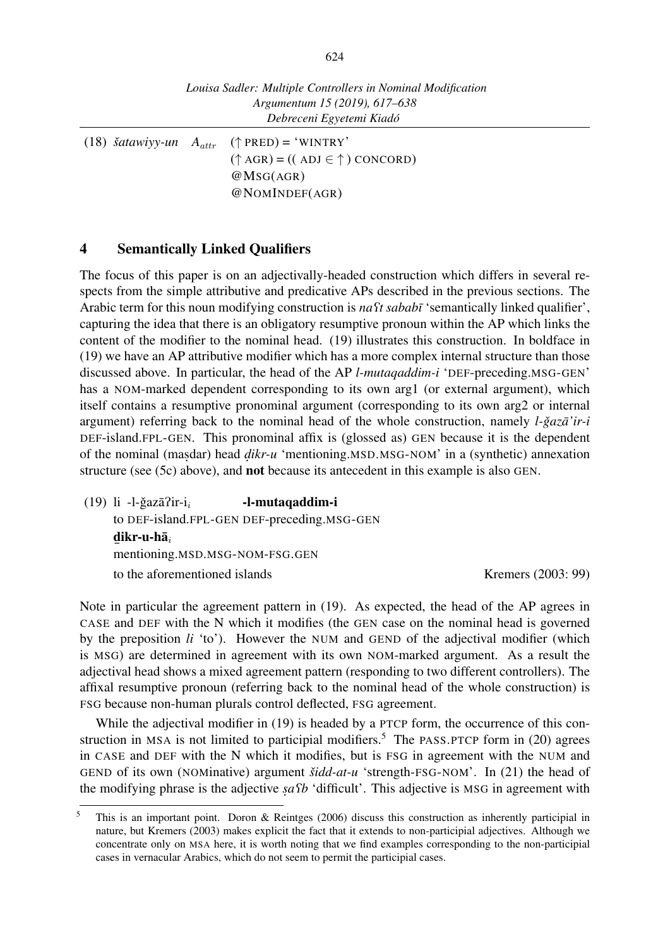(18)  $\delta$ *atawiyy-un*  $A_{attr}$  ( $\uparrow$  PRED) = 'WINTRY' (*↑* AGR) = (( ADJ *∈ ↑* ) CONCORD) @MSG(AGR) @NOMINDEF(AGR)

#### 4 Semantically Linked Qualifiers

The focus of this paper is on an adjectivally-headed construction which differs in several respects from the simple attributive and predicative APs described in the previous sections. The Arabic term for this noun modifying construction is *na*<sup> $\Omega$ </sup> *sababī* 'semantically linked qualifier', capturing the idea that there is an obligatory resumptive pronoun within the AP which links the content of the modifier to the nominal head. (19) illustrates this construction. In boldface in (19) we have an AP attributive modifier which has a more complex internal structure than those discussed above. In particular, the head of the AP *l-mutaqaddim-i* 'DEF-preceding.MSG-GEN' has a NOM-marked dependent corresponding to its own arg1 (or external argument), which itself contains a resumptive pronominal argument (corresponding to its own arg2 or internal argument) referring back to the nominal head of the whole construction, namely *l-ğazā'ir-i* DEF-island.FPL-GEN. This pronominal affix is (glossed as) GEN because it is the dependent of the nominal (masdar) head *dikr-u* 'mentioning.MSD.MSG-NOM' in a (synthetic) annexation structure (see (5c) above), and **not** because its antecedent in this example is also GEN.

(19) li -l-ğazā?ir-i<sub>*i*</sub> to DEF-island.FPL-GEN DEF-preceding.MSG-GEN -l-mutaqaddim-i d ikr-u-ha¯*<sup>i</sup>* ¯ mentioning.MSD.MSG-NOM-FSG.GEN to the aforementioned islands Kremers (2003: 99)

Note in particular the agreement pattern in (19). As expected, the head of the AP agrees in CASE and DEF with the N which it modifies (the GEN case on the nominal head is governed by the preposition *li* 'to'). However the NUM and GEND of the adjectival modifier (which is MSG) are determined in agreement with its own NOM-marked argument. As a result the adjectival head shows a mixed agreement pattern (responding to two different controllers). The affixal resumptive pronoun (referring back to the nominal head of the whole construction) is FSG because non-human plurals control deflected, FSG agreement.

While the adjectival modifier in (19) is headed by a PTCP form, the occurrence of this construction in MSA is not limited to participial modifiers.<sup>5</sup> The PASS.PTCP form in  $(20)$  agrees in CASE and DEF with the N which it modifies, but is FSG in agreement with the NUM and GEND of its own (NOMinative) argument *šidd-at-u* 'strength-FSG-NOM'. In (21) the head of the modifying phrase is the adjective *sa fb* 'difficult'. This adjective is MSG in agreement with ˙

<sup>5</sup> This is an important point. Doron & Reintges (2006) discuss this construction as inherently participial in nature, but Kremers (2003) makes explicit the fact that it extends to non-participial adjectives. Although we concentrate only on MSA here, it is worth noting that we find examples corresponding to the non-participial cases in vernacular Arabics, which do not seem to permit the participial cases.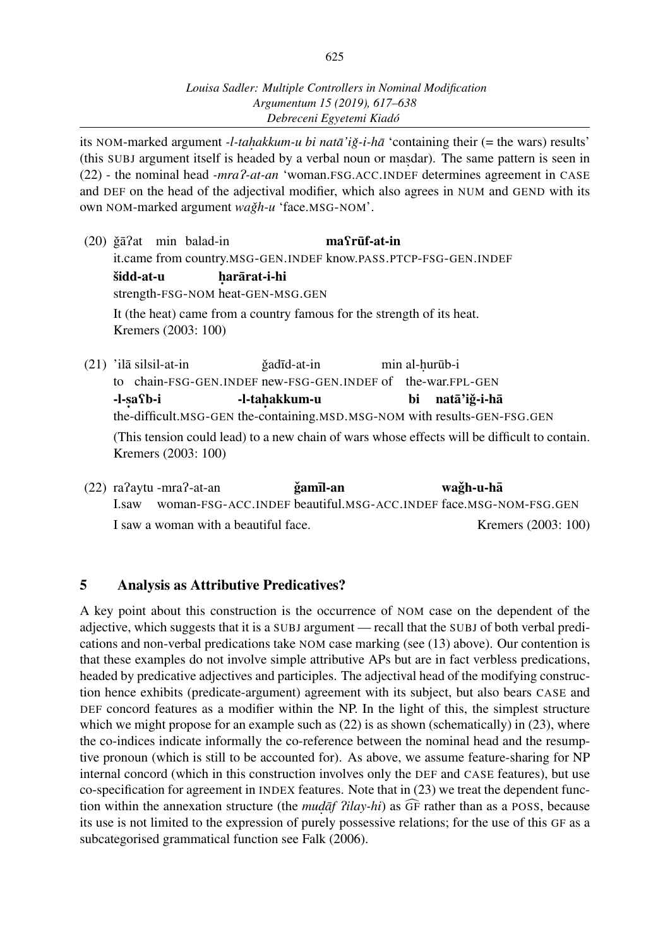its NOM-marked argument *-l-tahakkum-u bi natā'i ǧ-i-hā* 'containing their (= the wars) results' ˙ (this SUBJ argument itself is headed by a verbal noun or mas dar). The same pattern is seen in ˙ (22) - the nominal head *-mra*P*-at-an* 'woman.FSG.ACC.INDEF determines agreement in CASE and DEF on the head of the adjectival modifier, which also agrees in NUM and GEND with its own NOM-marked argument *wağh-u* 'face.MSG-NOM'.

|                                                                                               |  | $(20)$ ğā?at min balad-in | masrūf-at-in                                             |  |                |
|-----------------------------------------------------------------------------------------------|--|---------------------------|----------------------------------------------------------|--|----------------|
| it.came from country.MSG-GEN.INDEF know.PASS.PTCP-FSG-GEN.INDEF                               |  |                           |                                                          |  |                |
| šidd-at-u<br>harārat-i-hi                                                                     |  |                           |                                                          |  |                |
| strength-FSG-NOM heat-GEN-MSG.GEN                                                             |  |                           |                                                          |  |                |
| It (the heat) came from a country famous for the strength of its heat.<br>Kremers (2003: 100) |  |                           |                                                          |  |                |
| $(21)$ 'ila silsil-at-in                                                                      |  |                           | ğadīd-at-in                                              |  | min al-hurūb-i |
| to                                                                                            |  |                           | chain-FSG-GEN.INDEF new-FSG-GEN.INDEF of the-war.FPL-GEN |  |                |

-l-safb-i -l-tah akkum-u bi natā'iğ-i-hā

the-difficult.MSG-GEN the-containing.MSD.MSG-NOM with results-GEN-FSG.GEN

(This tension could lead) to a new chain of wars whose effects will be difficult to contain. Kremers (2003: 100)

(22) raPaytu -mraP-at-an I.saw woman-FSG-ACC.INDEF beautiful.MSG-ACC.INDEF face.MSG-NOM-FSG.GEN ğamīl-an wağh-u-hā I saw a woman with a beautiful face. Kremers (2003: 100)

## 5 Analysis as Attributive Predicatives?

A key point about this construction is the occurrence of NOM case on the dependent of the adjective, which suggests that it is a SUBJ argument — recall that the SUBJ of both verbal predications and non-verbal predications take NOM case marking (see (13) above). Our contention is that these examples do not involve simple attributive APs but are in fact verbless predications, headed by predicative adjectives and participles. The adjectival head of the modifying construction hence exhibits (predicate-argument) agreement with its subject, but also bears CASE and DEF concord features as a modifier within the NP. In the light of this, the simplest structure which we might propose for an example such as  $(22)$  is as shown (schematically) in  $(23)$ , where the co-indices indicate informally the co-reference between the nominal head and the resumptive pronoun (which is still to be accounted for). As above, we assume feature-sharing for NP internal concord (which in this construction involves only the DEF and CASE features), but use co-specification for agreement in INDEX features. Note that in (23) we treat the dependent function within the annexation structure (the *mudaf Pilay-hi*) as GF rather than as a POSS, because ˙ its use is not limited to the expression of purely possessive relations; for the use of this GF as a subcategorised grammatical function see Falk (2006).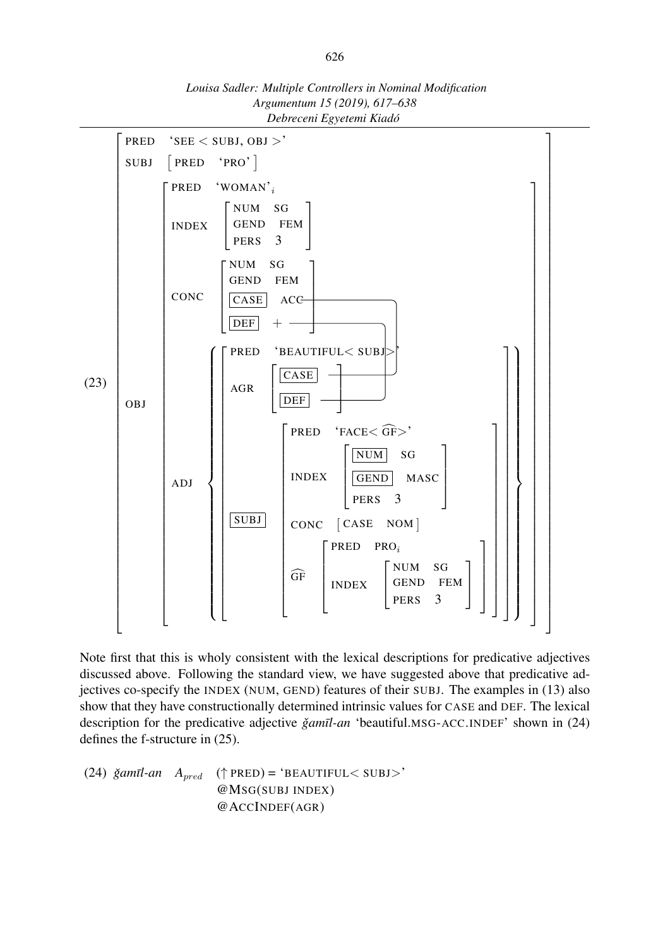

*Louisa Sadler: Multiple Controllers in Nominal Modification Argumentum 15 (2019), 617–638 Debreceni Egyetemi Kiadó*

Note first that this is wholy consistent with the lexical descriptions for predicative adjectives discussed above. Following the standard view, we have suggested above that predicative adjectives co-specify the INDEX (NUM, GEND) features of their SUBJ. The examples in (13) also show that they have constructionally determined intrinsic values for CASE and DEF. The lexical description for the predicative adjective *ğamīl-an* 'beautiful.MSG-ACC.INDEF' shown in (24) defines the f-structure in (25).

 $(24)$   $\check{g}$ *amīl-an*  $A_{pred}$   $(\uparrow$  PRED) = 'BEAUTIFUL< SUBJ>' @MSG(SUBJ INDEX) @ACCINDEF(AGR)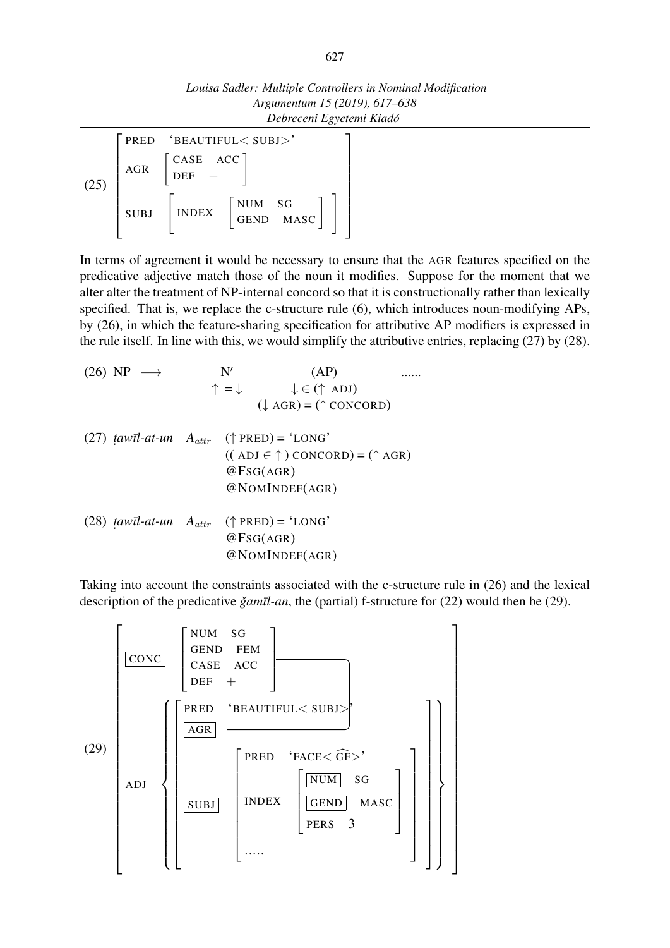*Louisa Sadler: Multiple Controllers in Nominal Modification Argumentum 15 (2019), 617–638 Debreceni Egyetemi Kiadó*

(25)  $\sqrt{ }$  $\overline{\phantom{a}}$  $\overline{\phantom{a}}$  $\overline{1}$  $\mathbf{I}$  $\overline{\phantom{a}}$  $\overline{\phantom{a}}$  $\overline{1}$  $\overline{1}$ PRED 'BEAUTIFUL*<* SUBJ*>*'  $AGR$ CASE ACC DEF *−* ] **SUBJ INDEX** NUM SG<br>GEND MASC<sup>]</sup>] 1  $\overline{1}$  $\overline{1}$  $\frac{1}{2}$  $\mathbf{I}$  $\overline{1}$  $\overline{1}$  $\overline{1}$  $\overline{1}$ 

In terms of agreement it would be necessary to ensure that the AGR features specified on the predicative adjective match those of the noun it modifies. Suppose for the moment that we alter alter the treatment of NP-internal concord so that it is constructionally rather than lexically specified. That is, we replace the c-structure rule (6), which introduces noun-modifying APs, by (26), in which the feature-sharing specification for attributive AP modifiers is expressed in the rule itself. In line with this, we would simplify the attributive entries, replacing (27) by (28).

(26) NP 
$$
\rightarrow
$$
 N' (AP) ......  
\n $\uparrow = \downarrow \qquad \downarrow \in (\uparrow \text{ ADJ})$  (...  
\n(27) *tawīl-at-un* A<sub>attr</sub> ( $\uparrow$  PRED) = 'LONG'  
\n((ADJ \in \uparrow) CONCORD) = ( $\uparrow$  AGR)  
\n@FSG(AGR)  
\n@NOMINDEF(AGR)  
\n(28) *tawīl-at-un* A<sub>attr</sub> ( $\uparrow$  PRED) = 'LONG'  
\n@FSG(AGR)  
\n@NOMINDEF(AGR)  
\n@NOMINDEF(AGR)

Taking into account the constraints associated with the c-structure rule in (26) and the lexical description of the predicative *ğamīl-an*, the (partial) f-structure for (22) would then be (29).

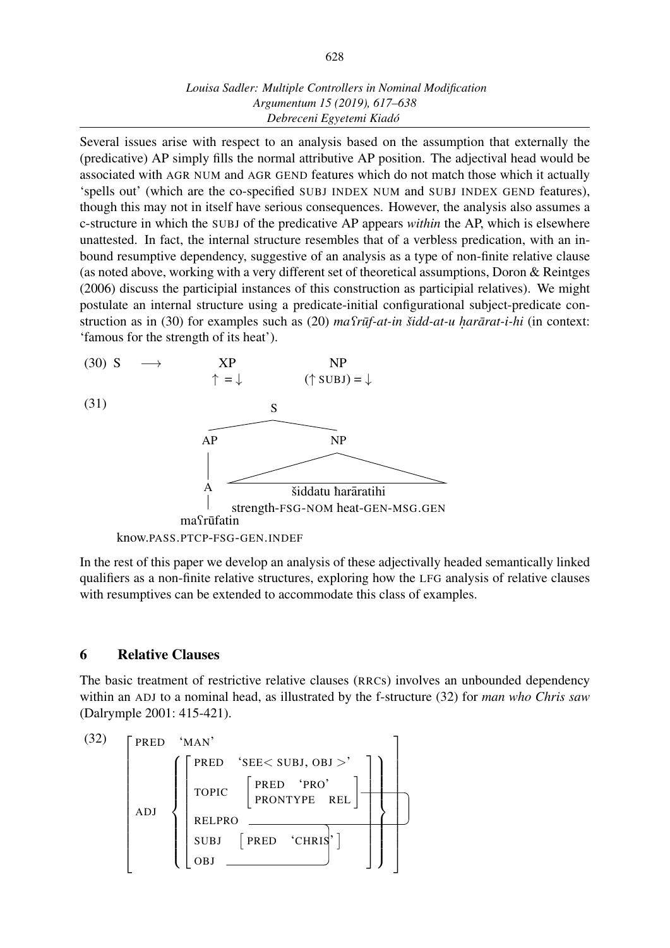### *Louisa Sadler: Multiple Controllers in Nominal Modification Argumentum 15 (2019), 617–638 Debreceni Egyetemi Kiadó*

Several issues arise with respect to an analysis based on the assumption that externally the (predicative) AP simply fills the normal attributive AP position. The adjectival head would be associated with AGR NUM and AGR GEND features which do not match those which it actually 'spells out' (which are the co-specified SUBJ INDEX NUM and SUBJ INDEX GEND features), though this may not in itself have serious consequences. However, the analysis also assumes a c-structure in which the SUBJ of the predicative AP appears *within* the AP, which is elsewhere unattested. In fact, the internal structure resembles that of a verbless predication, with an inbound resumptive dependency, suggestive of an analysis as a type of non-finite relative clause (as noted above, working with a very different set of theoretical assumptions, Doron & Reintges (2006) discuss the participial instances of this construction as participial relatives). We might postulate an internal structure using a predicate-initial configurational subject-predicate construction as in (30) for examples such as (20) *ma fruf-at-in šidd-at-u harārat-i-hi* (in context: ˙ 'famous for the strength of its heat').



In the rest of this paper we develop an analysis of these adjectivally headed semantically linked qualifiers as a non-finite relative structures, exploring how the LFG analysis of relative clauses with resumptives can be extended to accommodate this class of examples.

### 6 Relative Clauses

The basic treatment of restrictive relative clauses (RRCs) involves an unbounded dependency within an ADJ to a nominal head, as illustrated by the f-structure (32) for *man who Chris saw* (Dalrymple 2001: 415-421).

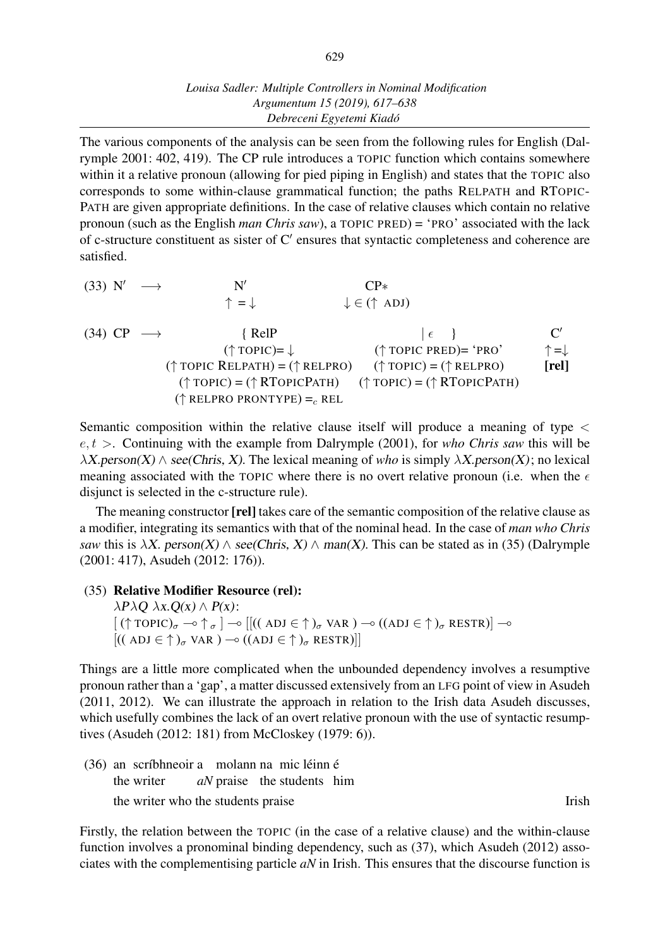### *Louisa Sadler: Multiple Controllers in Nominal Modification Argumentum 15 (2019), 617–638 Debreceni Egyetemi Kiadó*

The various components of the analysis can be seen from the following rules for English (Dalrymple 2001: 402, 419). The CP rule introduces a TOPIC function which contains somewhere within it a relative pronoun (allowing for pied piping in English) and states that the TOPIC also corresponds to some within-clause grammatical function; the paths RELPATH and RTOPIC-PATH are given appropriate definitions. In the case of relative clauses which contain no relative pronoun (such as the English *man Chris saw*), a TOPIC PRED) = 'PRO' associated with the lack of c-structure constituent as sister of C*′* ensures that syntactic completeness and coherence are satisfied.

|  | $(33)$ N' $\longrightarrow$ | N'                                                                                                                | $\mathsf{CP}{}{*}$              |               |
|--|-----------------------------|-------------------------------------------------------------------------------------------------------------------|---------------------------------|---------------|
|  |                             | $\uparrow$ =                                                                                                      | $\downarrow \in (\uparrow ADJ)$ |               |
|  | $(34)$ CP $\longrightarrow$ | $\{$ RelP                                                                                                         | $\vert \epsilon \vert$          |               |
|  |                             | $(\uparrow \text{TOPIC}) = \downarrow$                                                                            | $(\uparrow$ TOPIC PRED)= 'PRO'  | $=\downarrow$ |
|  |                             | $(\uparrow \text{TOPIC RELPATH}) = (\uparrow \text{RELPRO})$ $(\uparrow \text{TOPIC}) = (\uparrow \text{RELPRO})$ |                                 | [rel]         |
|  |                             | $(\uparrow \text{TOPIC}) = (\uparrow \text{RTOPICPATH})$ $(\uparrow \text{TOPIC}) = (\uparrow \text{RTOPICPATH})$ |                                 |               |
|  |                             | $(\uparrow$ RELPRO PRONTYPE) = REL                                                                                |                                 |               |

Semantic composition within the relative clause itself will produce a meaning of type *< e, t >*. Continuing with the example from Dalrymple (2001), for *who Chris saw* this will be  $\lambda X.$ person(X)  $\wedge$  see(Chris, X). The lexical meaning of *who* is simply  $\lambda X.$ person(X); no lexical meaning associated with the TOPIC where there is no overt relative pronoun (i.e. when the  $\epsilon$ disjunct is selected in the c-structure rule).

The meaning constructor [**rel**] takes care of the semantic composition of the relative clause as a modifier, integrating its semantics with that of the nominal head. In the case of *man who Chris saw* this is  $\lambda X$ . person(X)  $\wedge$  see(Chris, X)  $\wedge$  man(X). This can be stated as in (35) (Dalrymple (2001: 417), Asudeh (2012: 176)).

### (35) Relative Modifier Resource (rel):

*λ*P*λ*<sup>Q</sup> *λ*x.Q(x) *∧* P(x):  $[(\uparrow \text{TOPIC})_{\sigma} \rightarrow \uparrow_{\sigma}] \rightarrow [[((ADJ \in \uparrow)_{\sigma} \text{ VAR}) \rightarrow ((ADJ \in \uparrow)_{\sigma} \text{ RESTR})] \rightarrow$  $[(\mathbf{(ADJ }\in \uparrow)_\sigma \mathbf{VAR })\rightarrow ((\mathbf{ADJ }\in \uparrow)_\sigma \mathbf{RESTR})]$ 

Things are a little more complicated when the unbounded dependency involves a resumptive pronoun rather than a 'gap', a matter discussed extensively from an LFG point of view in Asudeh (2011, 2012). We can illustrate the approach in relation to the Irish data Asudeh discusses, which usefully combines the lack of an overt relative pronoun with the use of syntactic resumptives (Asudeh (2012: 181) from McCloskey (1979: 6)).

(36) an scríbhneoir a molann na mic léinn é the writer *aN* praise the students him the writer who the students praise Irish

Firstly, the relation between the TOPIC (in the case of a relative clause) and the within-clause function involves a pronominal binding dependency, such as (37), which Asudeh (2012) associates with the complementising particle *aN* in Irish. This ensures that the discourse function is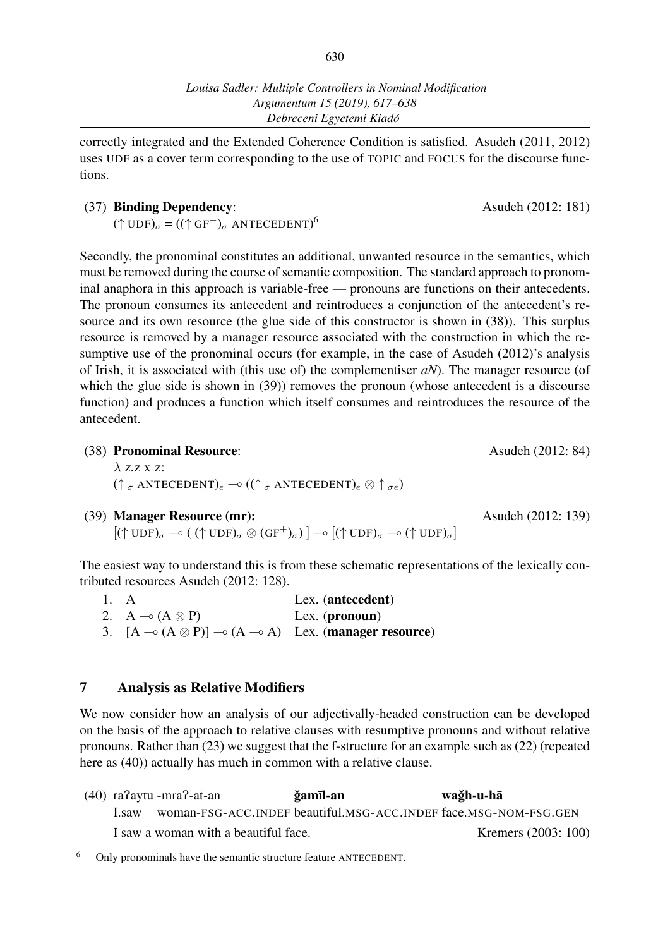correctly integrated and the Extended Coherence Condition is satisfied. Asudeh (2011, 2012) uses UDF as a cover term corresponding to the use of TOPIC and FOCUS for the discourse functions.

### (37) Binding Dependency: Asudeh (2012: 181)

 $({\uparrow \text{UDF}})_{\sigma} = (({\uparrow \text{GF}}^{+})_{\sigma} \text{ ANTECEDENT})^{6}$ 

Secondly, the pronominal constitutes an additional, unwanted resource in the semantics, which must be removed during the course of semantic composition. The standard approach to pronominal anaphora in this approach is variable-free — pronouns are functions on their antecedents. The pronoun consumes its antecedent and reintroduces a conjunction of the antecedent's resource and its own resource (the glue side of this constructor is shown in (38)). This surplus resource is removed by a manager resource associated with the construction in which the resumptive use of the pronominal occurs (for example, in the case of Asudeh (2012)'s analysis of Irish, it is associated with (this use of) the complementiser *aN*). The manager resource (of which the glue side is shown in (39)) removes the pronoun (whose antecedent is a discourse function) and produces a function which itself consumes and reintroduces the resource of the antecedent.

- (38) Pronominal Resource: Asudeh (2012: 84) *λ* z.z x <sup>z</sup>:  $(\uparrow \sigma$  ANTECEDENT)<sub>e</sub> →  $((\uparrow \sigma$  ANTECEDENT)<sub>e</sub> ⊗  $\uparrow \sigma$ <sub>*σe*</sub>)
- (39) Manager Resource (mr): Asudeh (2012: 139)

 $[(\uparrow \text{UDF})_{\sigma} \multimap ((\uparrow \text{UDF})_{\sigma} \otimes (\text{GF}^{+})_{\sigma})] \multimap [(\uparrow \text{UDF})_{\sigma} \multimap (\uparrow \text{UDF})_{\sigma}]$ 

The easiest way to understand this is from these schematic representations of the lexically contributed resources Asudeh (2012: 128).

| 1. A |                                                                                          | Lex. (antecedent) |
|------|------------------------------------------------------------------------------------------|-------------------|
|      | 2. A $\multimap$ (A $\otimes$ P)                                                         | Lex. $(pronoun)$  |
|      | 3. $[A \rightarrow (A \otimes P)] \rightarrow (A \rightarrow A)$ Lex. (manager resource) |                   |

### 7 Analysis as Relative Modifiers

We now consider how an analysis of our adjectivally-headed construction can be developed on the basis of the approach to relative clauses with resumptive pronouns and without relative pronouns. Rather than (23) we suggest that the f-structure for an example such as (22) (repeated here as (40)) actually has much in common with a relative clause.

|      | $(40)$ ra?aytu -mra?-at-an           | ğamīl-an | wağh-u-hā                                                        |
|------|--------------------------------------|----------|------------------------------------------------------------------|
| Lsaw |                                      |          | woman-FSG-ACC.INDEF beautiful.MSG-ACC.INDEF face.MSG-NOM-FSG.GEN |
|      | I saw a woman with a beautiful face. |          | Kremers (2003: 100)                                              |

<sup>6</sup> Only pronominals have the semantic structure feature ANTECEDENT.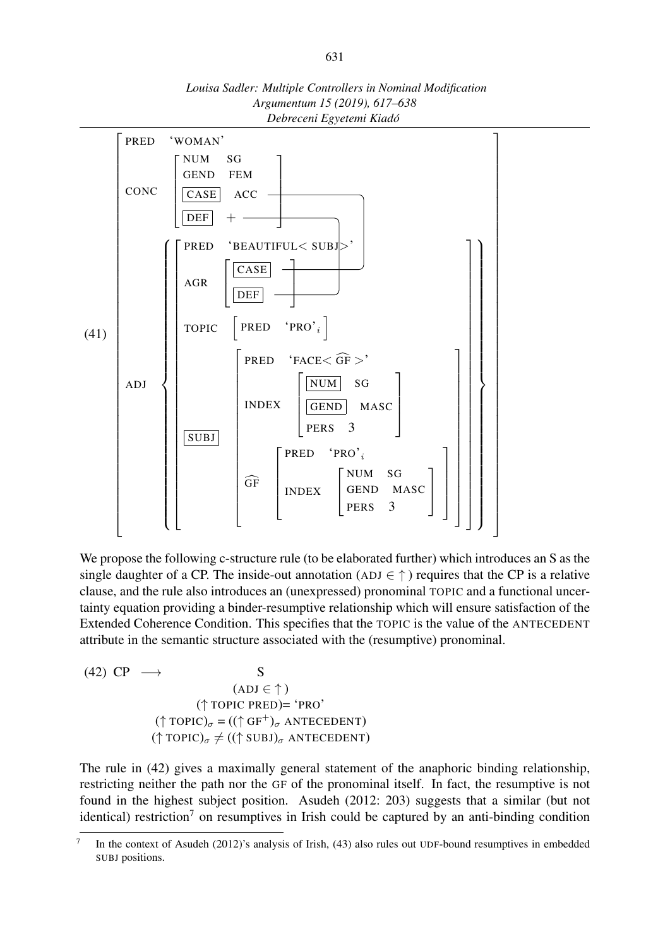



We propose the following c-structure rule (to be elaborated further) which introduces an S as the single daughter of a CP. The inside-out annotation ( $ADJ \in \uparrow$ ) requires that the CP is a relative clause, and the rule also introduces an (unexpressed) pronominal TOPIC and a functional uncertainty equation providing a binder-resumptive relationship which will ensure satisfaction of the Extended Coherence Condition. This specifies that the TOPIC is the value of the ANTECEDENT attribute in the semantic structure associated with the (resumptive) pronominal.

(42) 
$$
\text{CP} \longrightarrow \text{S}
$$
  
\n
$$
(\text{ADJ} \in \uparrow)
$$
\n
$$
(\uparrow \text{TOPIC } \text{PRED}) = \text{`PRO'}
$$
\n
$$
(\uparrow \text{TOPIC})_{\sigma} = ((\uparrow \text{GF}^{+})_{\sigma} \text{ ANTECEDENT})
$$
\n
$$
(\uparrow \text{TOPIC})_{\sigma} \neq ((\uparrow \text{SUBJ})_{\sigma} \text{ ANTECEDENT})
$$

The rule in (42) gives a maximally general statement of the anaphoric binding relationship, restricting neither the path nor the GF of the pronominal itself. In fact, the resumptive is not found in the highest subject position. Asudeh (2012: 203) suggests that a similar (but not identical) restriction<sup>7</sup> on resumptives in Irish could be captured by an anti-binding condition

<sup>7</sup> In the context of Asudeh (2012)'s analysis of Irish, (43) also rules out UDF-bound resumptives in embedded SUBJ positions.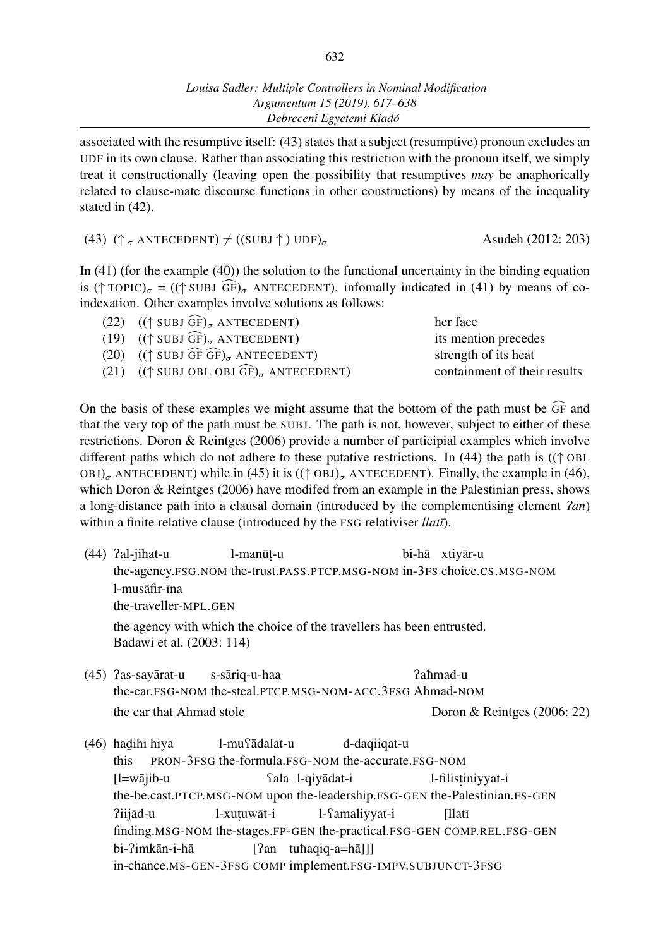associated with the resumptive itself: (43) states that a subject (resumptive) pronoun excludes an UDF in its own clause. Rather than associating this restriction with the pronoun itself, we simply treat it constructionally (leaving open the possibility that resumptives *may* be anaphorically related to clause-mate discourse functions in other constructions) by means of the inequality stated in (42).

(43)  $(\uparrow_{\sigma} \text{ANTECEDENT}) \neq ((SUBJ \uparrow) UDF)_{\sigma}$  Asudeh (2012: 203)

In (41) (for the example (40)) the solution to the functional uncertainty in the binding equation is ( $\uparrow$  TOPIC)<sub> $\sigma$ </sub> = (( $\uparrow$  SUBJ  $\widehat{GF}$ )<sub> $\sigma$ </sub> ANTECEDENT), infomally indicated in (41) by means of coindexation. Other examples involve solutions as follows:

| (22) $((\uparrow \text{SUBJ }\widehat{\text{GF}})_{\sigma} \text{ ANTECEDENT})$            | her face                     |
|--------------------------------------------------------------------------------------------|------------------------------|
| (19) $((\uparrow \text{SUBJ }\widehat{\text{GF}})_{\sigma} \text{ ANTECEDENT})$            | its mention precedes         |
| (20) $((\uparrow \text{SUBJ }\widehat{\text{GF}}\widehat{\text{GF}})_{\sigma}$ ANTECEDENT) | strength of its heat         |
| (21) $((\uparrow \text{SUBJ OBL OBJ }\widehat{\text{GF}})_{\sigma}$ ANTECEDENT)            | containment of their results |
|                                                                                            |                              |

On the basis of these examples we might assume that the bottom of the path must be  $\widehat{GF}$  and that the very top of the path must be SUBJ. The path is not, however, subject to either of these restrictions. Doron & Reintges (2006) provide a number of participial examples which involve different paths which do not adhere to these putative restrictions. In (44) the path is ((*↑* OBL  $OBJ)_{\sigma}$  ANTECEDENT) while in (45) it is  $((\uparrow$  OBJ) $_{\sigma}$  ANTECEDENT). Finally, the example in (46), which Doron & Reintges (2006) have modifed from an example in the Palestinian press, shows a long-distance path into a clausal domain (introduced by the complementising element P*an*) within a finite relative clause (introduced by the FSG relativiser *llatī*).

- $(44)$  ?al-jihat-u the-agency.FSG.NOM the-trust.PASS.PTCP.MSG-NOM in-3FS choice.CS.MSG-NOM l-manūț-u bi-hā xtiyār-u  $l$ -mus $\bar{a}$ fir- $\bar{n}$ na the-traveller-MPL.GEN the agency with which the choice of the travellers has been entrusted. Badawi et al. (2003: 114)
- $(45)$  ? as-sayarat-u the-car.FSG-NOM the-steal.PTCP.MSG-NOM-ACC.3FSG Ahmad-NOM s-sariq-u-haa ¯ Paèmad-u the car that Ahmad stole Doron & Reintges (2006: 22)
- (46) had ihi hiya ——<br>this PRON-3FSG the-formula.FSG-NOM the-accurate.FSG-NOM l-mu<sup>cadalat-u</sup> d-daqiiqat-u  $[1=$ wājib-u the-be.cast.PTCP.MSG-NOM upon the-leadership.FSG-GEN the-Palestinian.FS-GEN Qala l-qiyadat-i ¯ l-filist iniyyat-i Piijad-u ¯ finding.MSG-NOM the-stages.FP-GEN the-practical.FSG-GEN COMP.REL.FSG-GEN l-xuțuwāt-i l-Samaliyyat-i [llatī bi-?imkān-i-hā in-chance.MS-GEN-3FSG COMP implement.FSG-IMPV.SUBJUNCT-3FSG[?an tuhaqiq-a=hā]]]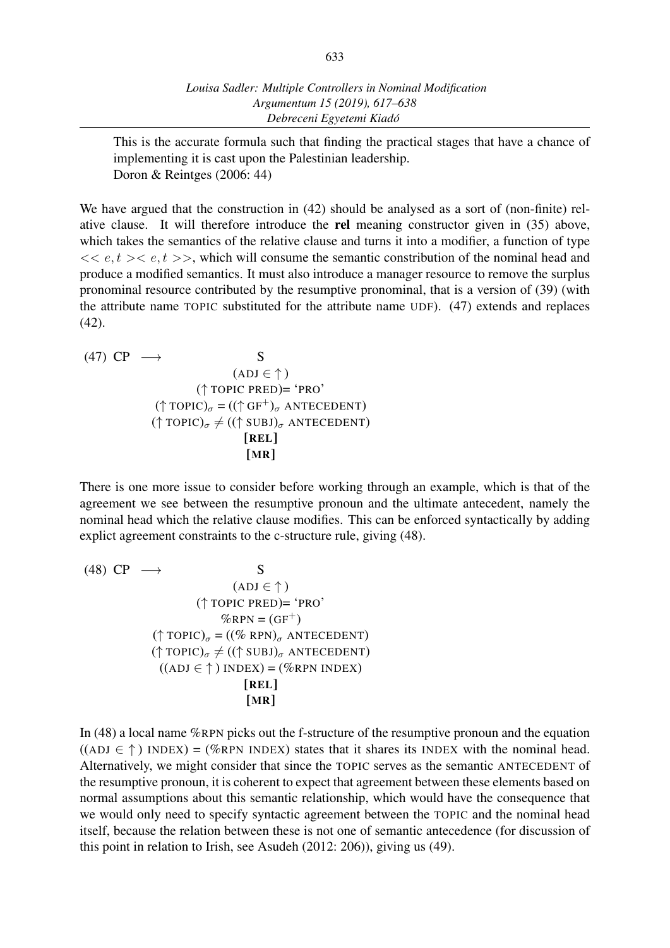This is the accurate formula such that finding the practical stages that have a chance of implementing it is cast upon the Palestinian leadership. Doron & Reintges (2006: 44)

We have argued that the construction in (42) should be analysed as a sort of (non-finite) relative clause. It will therefore introduce the rel meaning constructor given in (35) above, which takes the semantics of the relative clause and turns it into a modifier, a function of type  $<< e, t>> e, t>>$ , which will consume the semantic constribution of the nominal head and produce a modified semantics. It must also introduce a manager resource to remove the surplus pronominal resource contributed by the resumptive pronominal, that is a version of (39) (with the attribute name TOPIC substituted for the attribute name UDF). (47) extends and replaces (42).

(47) CP 
$$
\rightarrow
$$
 S  
\n(ADJ  $\in \uparrow$ )  
\n(† TOPIC PRED)= 'PRO'  
\n(† TOPIC)<sub>σ</sub> = ((† GF<sup>+</sup>)<sub>σ</sub> ANTECEDENT)  
\n(† TOPIC)<sub>σ</sub>  $\neq$  ((† SUBJ)<sub>σ</sub> ANTECEDENT)  
\n[REL]  
\n[MR]

There is one more issue to consider before working through an example, which is that of the agreement we see between the resumptive pronoun and the ultimate antecedent, namely the nominal head which the relative clause modifies. This can be enforced syntactically by adding explict agreement constraints to the c-structure rule, giving (48).

(48) CP 
$$
\longrightarrow
$$
 S  
\n(ADJ  $\in \uparrow$ )  
\n(† TOPIC PRED) = 'PRO'  
\n%RPN = (GF<sup>+</sup>)  
\n(† TOPIC)<sub>σ</sub> = ((% RPN)<sub>σ</sub> ANTECEDENT)  
\n(† TOPIC)<sub>σ</sub>  $\neq$  ((† SUBJ)<sub>σ</sub> ANTECEDENT)  
\n((ADJ  $\in \uparrow$ ) INDEX) = (%RPN INDEX)  
\n[REL]  
\n[MR]

In (48) a local name %RPN picks out the f-structure of the resumptive pronoun and the equation  $((ADJ \in \uparrow))$  INDEX) = (%RPN INDEX) states that it shares its INDEX with the nominal head. Alternatively, we might consider that since the TOPIC serves as the semantic ANTECEDENT of the resumptive pronoun, it is coherent to expect that agreement between these elements based on normal assumptions about this semantic relationship, which would have the consequence that we would only need to specify syntactic agreement between the TOPIC and the nominal head itself, because the relation between these is not one of semantic antecedence (for discussion of this point in relation to Irish, see Asudeh (2012: 206)), giving us (49).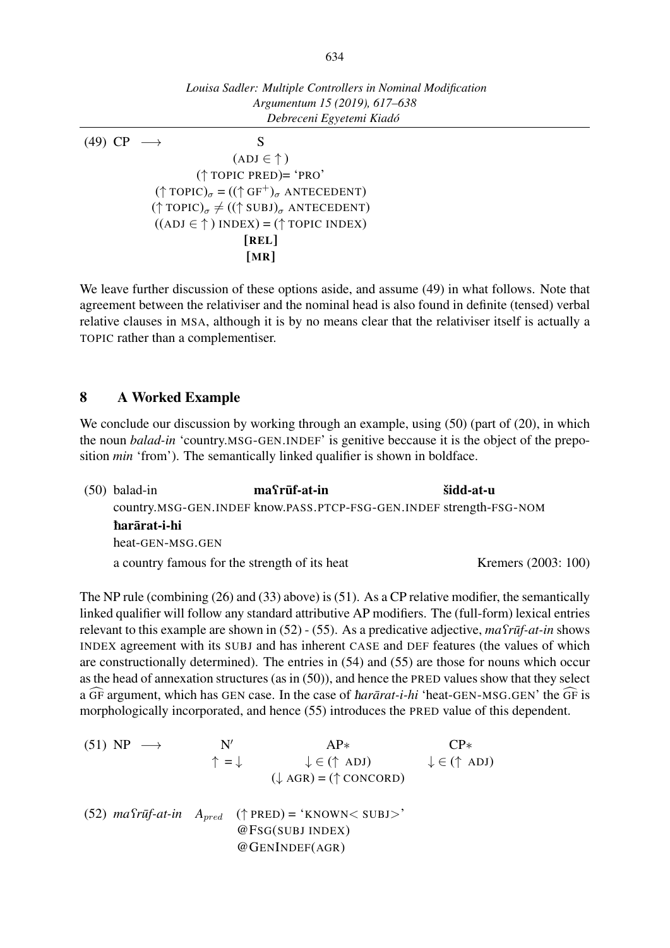*Louisa Sadler: Multiple Controllers in Nominal Modification Argumentum 15 (2019), 617–638 Debreceni Egyetemi Kiadó* (49) CP *−→* S (ADJ *∈ ↑* ) (*↑* TOPIC PRED)= 'PRO' (*<sup>↑</sup>* TOPIC)*<sup>σ</sup>* = ((*<sup>↑</sup>* GF<sup>+</sup>)*<sup>σ</sup>* ANTECEDENT) (*↑* TOPIC)*<sup>σ</sup> ̸*= ((*↑* SUBJ)*<sup>σ</sup>* ANTECEDENT) ((ADJ *∈ ↑* ) INDEX) = (*↑* TOPIC INDEX) [REL] [MR]

We leave further discussion of these options aside, and assume (49) in what follows. Note that agreement between the relativiser and the nominal head is also found in definite (tensed) verbal relative clauses in MSA, although it is by no means clear that the relativiser itself is actually a TOPIC rather than a complementiser.

### 8 A Worked Example

We conclude our discussion by working through an example, using  $(50)$  (part of  $(20)$ , in which the noun *balad-in* 'country.MSG-GEN.INDEF' is genitive beccause it is the object of the preposition *min* 'from'). The semantically linked qualifier is shown in boldface.

(50) balad-in country.MSG-GEN.INDEF know.PASS.PTCP-FSG-GEN.INDEF strength-FSG-NOM  $ma$  $r$  $\bar{u}$ f-at-in šidd-at-u èararat-i-hi ¯ heat-GEN-MSG.GEN a country famous for the strength of its heat Kremers (2003: 100)

The NP rule (combining (26) and (33) above) is (51). As a CP relative modifier, the semantically linked qualifier will follow any standard attributive AP modifiers. The (full-form) lexical entries relevant to this example are shown in (52) - (55). As a predicative adjective, *ma Truf-at-in* shows INDEX agreement with its SUBJ and has inherent CASE and DEF features (the values of which are constructionally determined). The entries in (54) and (55) are those for nouns which occur as the head of annexation structures (as in (50)), and hence the PRED values show that they select a GF argument, which has GEN case. In the case of *hararat-i-hi* 'heat-GEN-MSG.GEN' the GF is morphologically incorporated, and hence (55) introduces the PRED value of this dependent.

 $(51)$  NP  $\longrightarrow$ *′ ↑* = *↓* AP*∗ ↓ ∈* (*↑* ADJ) (*↓* AGR) = (*↑* CONCORD) CP*∗ ↓ ∈* (*↑* ADJ)  $(52)$   $ma$ <sup>2</sup> $r\bar{u}f$ - $at$ - $in$   $A$ <sub> $pred$ </sub>  $(†$  PRED) = 'KNOWN< SUBJ>' @FSG(SUBJ INDEX) @GENINDEF(AGR)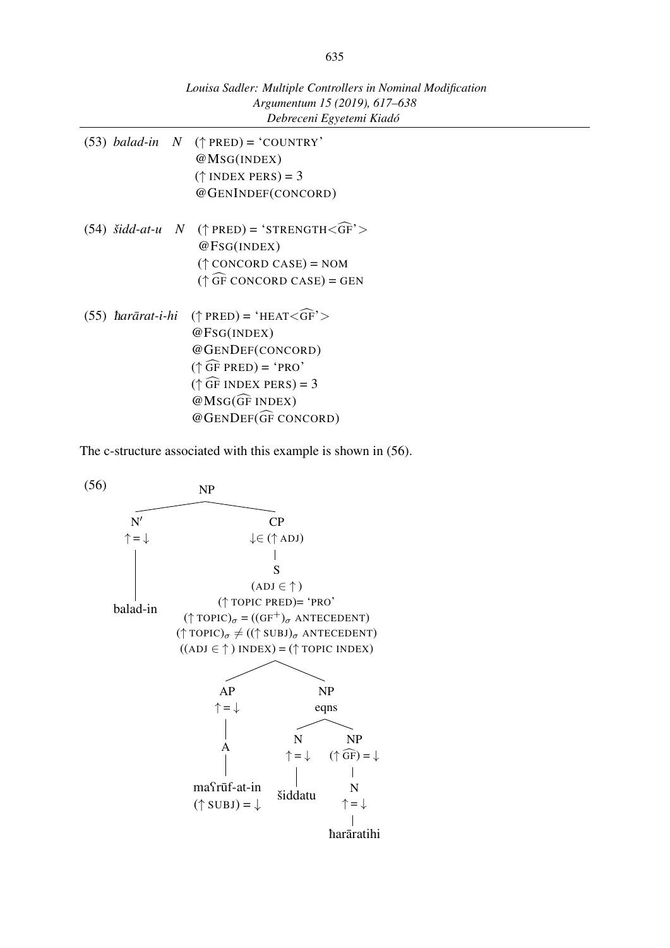|  | Argumentum 15 (2019), 617–638<br>Debreceni Egyetemi Kiadó              |  |
|--|------------------------------------------------------------------------|--|
|  | (53) <i>balad-in</i> $N$ ( $\uparrow$ PRED) = 'COUNTRY'<br>@MSG(INDEX) |  |
|  | $(\uparrow$ INDEX PERS) = 3                                            |  |
|  | @GENINDEF(CONCORD)                                                     |  |
|  | (54) <i>šidd-at-u</i> $N$ ( $\uparrow$ PRED) = 'STRENGTH <gf'></gf'>   |  |
|  | @FSG(INDEX)                                                            |  |
|  | $(\uparrow$ CONCORD CASE) = NOM                                        |  |
|  | $(\uparrow \widehat{GF}$ CONCORD CASE) = GEN                           |  |
|  | (55) <i>harārat-i-hi</i> († PRED) = 'HEAT< $\widehat{GF}$ '>           |  |
|  | @FSG(INDEX)                                                            |  |
|  | @GENDEF(CONCORD)                                                       |  |
|  | $(\uparrow \widehat{GF}$ PRED) = 'PRO'                                 |  |
|  | $(\uparrow \widehat{GF}$ INDEX PERS) = 3                               |  |
|  | $@MSG$ $(F$ INDEX)                                                     |  |
|  | @GENDEF(GF CONCORD)                                                    |  |

The c-structure associated with this example is shown in (56).



*Louisa Sadler: Multiple Controllers in Nominal Modification*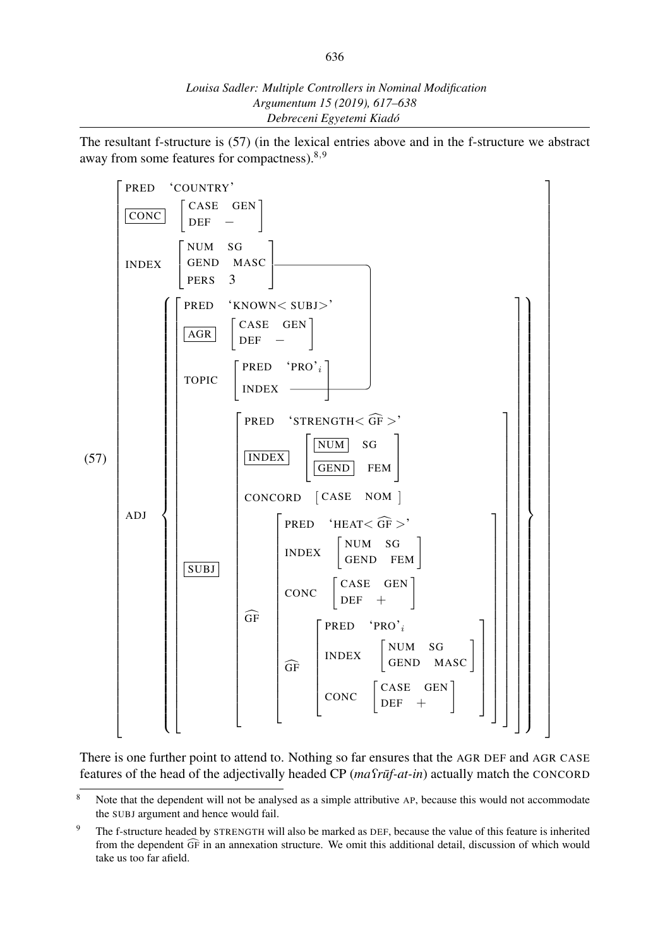The resultant f-structure is (57) (in the lexical entries above and in the f-structure we abstract away from some features for compactness).<sup>8</sup>*,*<sup>9</sup>



There is one further point to attend to. Nothing so far ensures that the AGR DEF and AGR CASE features of the head of the adjectivally headed CP (*ma* $\Omega$ <sup>*rūf-at-in*) actually match the CONCORD</sup>

<sup>&</sup>lt;sup>8</sup> Note that the dependent will not be analysed as a simple attributive AP, because this would not accommodate the SUBJ argument and hence would fail.

<sup>&</sup>lt;sup>9</sup> The f-structure headed by STRENGTH will also be marked as DEF, because the value of this feature is inherited from the dependent  $\widehat{GF}$  in an annexation structure. We omit this additional detail, discussion of which would take us too far afield.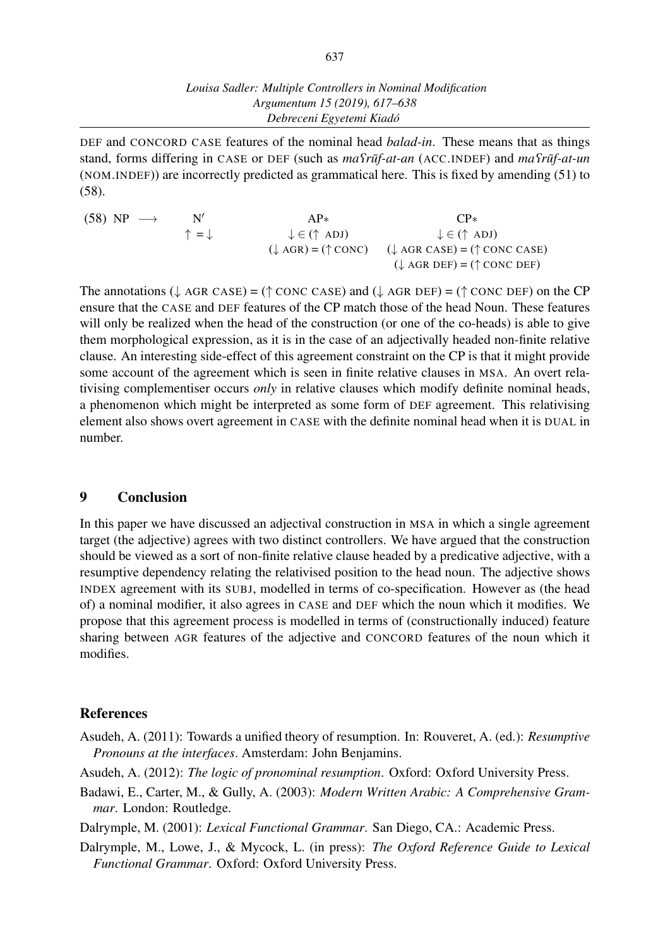DEF and CONCORD CASE features of the nominal head *balad-in*. These means that as things stand, forms differing in CASE or DEF (such as  $ma\textit{Trüf-at-an}$  (ACC.INDEF) and  $ma\textit{Trüf-at-un}$ (NOM.INDEF)) are incorrectly predicted as grammatical here. This is fixed by amending (51) to (58).

 $(58) NP \rightarrow$ *′ ↑* = *↓* AP*∗ ↓ ∈* (*↑* ADJ) (*↓* AGR) = (*↑* CONC) CP*∗ ↓ ∈* (*↑* ADJ) (*↓* AGR CASE) = (*↑* CONC CASE) (*↓* AGR DEF) = (*↑* CONC DEF)

The annotations (*↓* AGR CASE) = (*↑* CONC CASE) and (*↓* AGR DEF) = (*↑* CONC DEF) on the CP ensure that the CASE and DEF features of the CP match those of the head Noun. These features will only be realized when the head of the construction (or one of the co-heads) is able to give them morphological expression, as it is in the case of an adjectivally headed non-finite relative clause. An interesting side-effect of this agreement constraint on the CP is that it might provide some account of the agreement which is seen in finite relative clauses in MSA. An overt relativising complementiser occurs *only* in relative clauses which modify definite nominal heads, a phenomenon which might be interpreted as some form of DEF agreement. This relativising element also shows overt agreement in CASE with the definite nominal head when it is DUAL in number.

### 9 Conclusion

In this paper we have discussed an adjectival construction in MSA in which a single agreement target (the adjective) agrees with two distinct controllers. We have argued that the construction should be viewed as a sort of non-finite relative clause headed by a predicative adjective, with a resumptive dependency relating the relativised position to the head noun. The adjective shows INDEX agreement with its SUBJ, modelled in terms of co-specification. However as (the head of) a nominal modifier, it also agrees in CASE and DEF which the noun which it modifies. We propose that this agreement process is modelled in terms of (constructionally induced) feature sharing between AGR features of the adjective and CONCORD features of the noun which it modifies.

### References

- Asudeh, A. (2011): Towards a unified theory of resumption. In: Rouveret, A. (ed.): *Resumptive Pronouns at the interfaces*. Amsterdam: John Benjamins.
- Asudeh, A. (2012): *The logic of pronominal resumption*. Oxford: Oxford University Press.
- Badawi, E., Carter, M., & Gully, A. (2003): *Modern Written Arabic: A Comprehensive Grammar*. London: Routledge.
- Dalrymple, M. (2001): *Lexical Functional Grammar*. San Diego, CA.: Academic Press.
- Dalrymple, M., Lowe, J., & Mycock, L. (in press): *The Oxford Reference Guide to Lexical Functional Grammar*. Oxford: Oxford University Press.